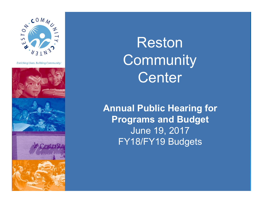

**Enriching Lives. Building Community.** 



Reston **Community** Center

**Annual Public Hearing for Programs and Budget**  June 19, 2017 FY18/FY19 Budgets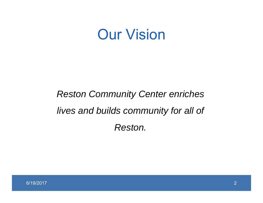### Our Vision

### *Reston Community Center enriches lives and builds community for all of Reston.*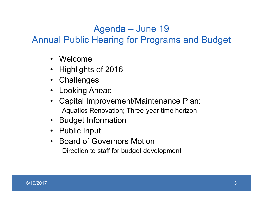#### Agenda – June 19

Annual Public Hearing for Programs and Budget

- Welcome
- Highlights of 2016
- Challenges
- Looking Ahead
- • Capital Improvement/Maintenance Plan: Aquatics Renovation; Three-year time horizon
- Budget Information
- Public Input
- Board of Governors Motion Direction to staff for budget development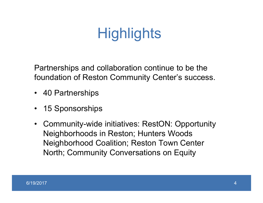# **Highlights**

Partnerships and collaboration continue to be the foundation of Reston Community Center's success.

- 40 Partnerships
- •15 Sponsorships
- $\bullet$  Community-wide initiatives: RestON: Opportunity Neighborhoods in Reston; Hunters Woods Neighborhood Coalition; Reston Town Center North; Community Conversations on Equity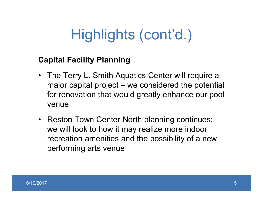#### **Capital Facility Planning**

- The Terry L. Smith Aquatics Center will require a major capital project – we considered the potential for renovation that would greatly enhance our pool venue
- Reston Town Center North planning continues; we will look to how it may realize more indoor recreation amenities and the possibility of a new performing arts venue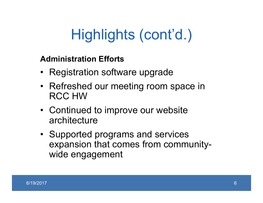#### **Administration Efforts**

- Registration software upgrade
- Refreshed our meeting room space in RCC HW
- Continued to improve our website architecture
- Supported programs and services expansion that comes from communitywide engagement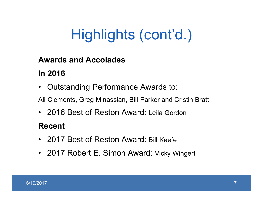#### **Awards and Accolades**

#### **In 2016**

•Outstanding Performance Awards to:

Ali Clements, Greg Minassian, Bill Parker and Cristin Bratt

• 2016 Best of Reston Award: Leila Gordon

#### **Recent**

- 2017 Best of Reston Award: Bill Keefe
- 2017 Robert E. Simon Award: Vicky Wingert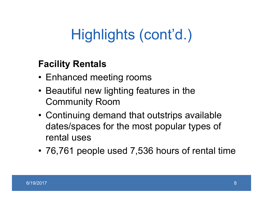### **Facility Rentals**

- Enhanced meeting rooms
- Beautiful new lighting features in the Community Room
- Continuing demand that outstrips available dates/spaces for the most popular types of rental uses
- 76,761 people used 7,536 hours of rental time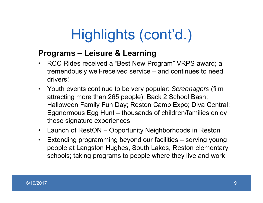#### **Programs – Leisure & Learning**

- • RCC Rides received a "Best New Program" VRPS award; a tremendously well-received service – and continues to need drivers!
- Youth events continue to be very popular: *Screenagers* (film attracting more than 265 people); Back 2 School Bash; Halloween Family Fun Day; Reston Camp Expo; Diva Central; Eggnormous Egg Hunt – thousands of children/families enjoy these signature experiences
- Launch of RestON Opportunity Neighborhoods in Reston
- Extending programming beyond our facilities serving young people at Langston Hughes, South Lakes, Reston elementary schools; taking programs to people where they live and work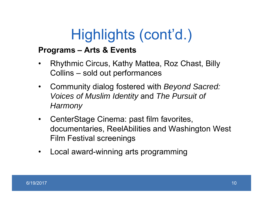#### **Programs – Arts & Events**

- • Rhythmic Circus, Kathy Mattea, Roz Chast, Billy Collins – sold out performances
- • Community dialog fostered with *Beyond Sacred: Voices of Muslim Identity* and *The Pursuit of Harmony*
- • CenterStage Cinema: past film favorites, documentaries, ReelAbilities and Washington West Film Festival screenings
- $\bullet$ Local award-winning arts programming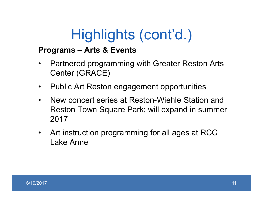#### **Programs – Arts & Events**

- • Partnered programming with Greater Reston Arts Center (GRACE)
- •Public Art Reston engagement opportunities
- • New concert series at Reston-Wiehle Station and Reston Town Square Park; will expand in summer 2017
- • Art instruction programming for all ages at RCC Lake Anne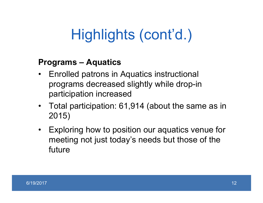#### **Programs – Aquatics**

- • Enrolled patrons in Aquatics instructional programs decreased slightly while drop-in participation increased
- Total participation: 61,914 (about the same as in 2015)
- • Exploring how to position our aquatics venue for meeting not just today's needs but those of the future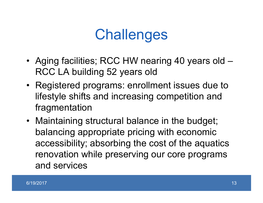### **Challenges**

- Aging facilities; RCC HW nearing 40 years old RCC LA building 52 years old
- Registered programs: enrollment issues due to lifestyle shifts and increasing competition and fragmentation
- Maintaining structural balance in the budget; balancing appropriate pricing with economic accessibility; absorbing the cost of the aquatics renovation while preserving our core programs and services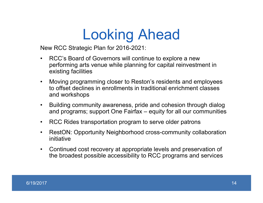## Looking Ahead

New RCC Strategic Plan for 2016-2021:

- • RCC's Board of Governors will continue to explore a new performing arts venue while planning for capital reinvestment in existing facilities
- $\bullet$  Moving programming closer to Reston's residents and employees to offset declines in enrollments in traditional enrichment classes and workshops
- $\bullet$  Building community awareness, pride and cohesion through dialog and programs; support One Fairfax – equity for all our communities
- $\bullet$ RCC Rides transportation program to serve older patrons
- $\bullet$  RestON: Opportunity Neighborhood cross-community collaboration initiative
- $\bullet$  Continued cost recovery at appropriate levels and preservation of the broadest possible accessibility to RCC programs and service s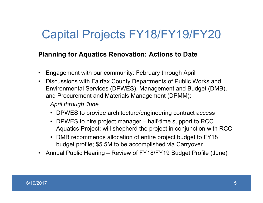### Capital Projects FY18/FY19/FY20

#### **Planning for Aquatics Renovation: Actions to Date**

- Engagement with our community: February through April
- Discussions with Fairfax County Departments of Public Works and Environmental Services (DPWES), Management and Budget (DMB), and Procurement and Materials Management (DPMM):

*April through June*

- DPWES to provide architecture/engineering contract access
- DPWES to hire project manager half-time support to RCC Aquatics Project; will shepherd the project in conjunction with RCC
- DMB recommends allocation of entire project budget to FY18 budget profile; \$5.5M to be accomplished via Carryover
- Annual Public Hearing Review of FY18/FY19 Budget Profile (June)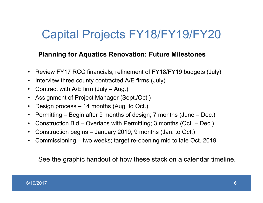### Capital Projects FY18/FY19/FY20

#### **Planning for Aquatics Renovation: Future Milestones**

- •Review FY17 RCC financials; refinement of FY18/FY19 budgets (July)
- $\bullet$ Interview three county contracted A/E firms (July)
- $\bullet$ Contract with A/E firm (July – Aug.)
- •Assignment of Project Manager (Sept./Oct.)
- •Design process – 14 months (Aug. to Oct.)
- •Permitting – Begin after 9 months of design; 7 months (June – Dec.)
- $\bullet$ Construction Bid – Overlaps with Permitting; 3 months (Oct. – Dec.)
- $\bullet$ Construction begins – January 2019; 9 months (Jan. to Oct.)
- $\bullet$ Commissioning – two weeks; target re-opening mid to late Oct. 2019

See the graphic handout of how these stack on a calendar timeline.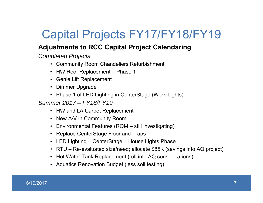### Capital Projects FY17/FY18/FY19

#### **Adjustments to RCC Capital Project Calendaring**

*Completed Projects*

- Community Room Chandeliers Refurbishment
- HW Roof Replacement Phase 1
- Genie Lift Replacement
- Dimmer Upgrade
- Phase 1 of LED Lighting in CenterStage (Work Lights)

*Summer 2017 – FY18/FY19*

- HW and LA Carpet Replacement
- New A/V in Community Room
- Environmental Features (ROM still investigating)
- Replace CenterStage Floor and Traps
- LED Lighting CenterStage House Lights Phase
- RTU Re-evaluated size/need; allocate \$85K (savings into AQ project)
- Hot Water Tank Replacement (roll into AQ considerations)
- Aquatics Renovation Budget (less soil testing)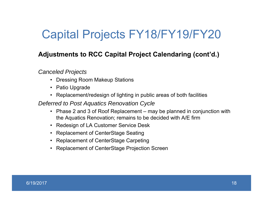### Capital Projects FY18/FY19/FY20

#### **Adjustments to RCC Capital Project Calendaring (cont'd.)**

*Canceled Projects* 

- Dressing Room Makeup Stations
- Patio Upgrade
- Replacement/redesign of lighting in public areas of both facilities

*Deferred to Post Aquatics Renovation Cycle*

- Phase 2 and 3 of Roof Replacement may be planned in conjunction with the Aquatics Renovation; remains to be decided with A/E firm
- Redesign of LA Customer Service Desk
- Replacement of CenterStage Seating
- Replacement of CenterStage Carpeting
- Replacement of CenterStage Projection Screen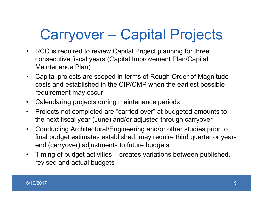# Carryover – Capital Projects

- RCC is required to review Capital Project planning for three consecutive fiscal years (Capital Improvement Plan/Capital Maintenance Plan)
- $\bullet$  Capital projects are scoped in terms of Rough Order of Magnitude costs and established in the CIP/CMP when the earliest possible requirement may occur
- $\bullet$ Calendaring projects during maintenance periods
- $\bullet$  Projects not completed are "carried over" at budgeted amounts to the next fiscal year (June) and/or adjusted through carryover
- • Conducting Architectural/Engineering and/or other studies prior to final budget estimates established; may require third quarter or yearend (carryover) adjustments to future budgets
- $\bullet$  Timing of budget activities – creates variations between published, revised and actual budgets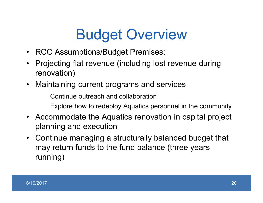## Budget Overview

- RCC Assumptions/Budget Premises:
- Projecting flat revenue (including lost revenue during renovation)
- Maintaining current programs and services

Continue outreach and collaborationExplore how to redeploy Aquatics personnel in the community

- Accommodate the Aquatics renovation in capital project planning and execution
- Continue managing a structurally balanced budget that may return funds to the fund balance (three years running)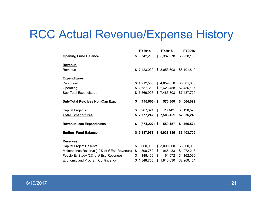### RCC Actual Revenue/Expense History

|                                             | FY2014                    |       | <b>FY2015</b> | FY2016        |
|---------------------------------------------|---------------------------|-------|---------------|---------------|
| <b>Opening Fund Balance</b>                 | \$5,742,205               |       | \$5,387,978   | \$5,938,135   |
| <b>Revenue</b>                              |                           |       |               |               |
| Revenue                                     | \$7,423,020               |       | \$8,053,608   | \$8,101,819   |
| <b>Expenditures</b>                         |                           |       |               |               |
| Personnel                                   | \$4,912,558               |       | \$4,859,850   | \$5,001,603   |
| Operating                                   | \$2,657,368               |       | \$2,623,458   | \$2,436,117   |
| Sub-Total Expenditures                      | \$7,569,926               |       | \$7,483,308   | \$7,437,720   |
| Sub-Total Rev. less Non-Cap Exp.            | \$<br>$(146,906)$ \$      |       | 570,300       | \$<br>664,099 |
| <b>Capital Projects</b>                     | \$<br>207,321             | $\$\$ | 20,143        | \$<br>198,525 |
| <b>Total Expenditures</b>                   | \$7,777,247               |       | \$7,503,451   | \$7,636,245   |
| <b>Revenue less Expenditures</b>            | \$<br>$(354, 227)$ \$     |       | 550,157       | \$465,574     |
| <b>Ending Fund Balance</b>                  | $$5,387,978$ $$5,938,135$ |       |               | \$6,403,709   |
| <b>Reserves</b>                             |                           |       |               |               |
| Capital Project Reserve                     | \$<br>3,000,000           |       | \$3,000,000   | \$3,000,000   |
| Maintenance Reserve (12% of # Est. Revenue) | \$<br>890,762             | \$    | 966,433       | \$972,218     |
| Feasibility Study (2% of # Est. Revenue)    | \$<br>148,460             | \$    | 161,072       | \$<br>162,036 |
| <b>Economic and Program Contingency</b>     | \$1,348,755               |       | \$1,810,630   | \$2,269,454   |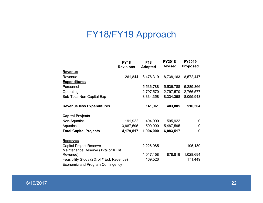### FY18/FY19 Approach

|                                          | <b>FY18</b>      | F18            | <b>FY2018</b>  | <b>FY2019</b>   |
|------------------------------------------|------------------|----------------|----------------|-----------------|
|                                          | <b>Revisions</b> | <b>Adopted</b> | <b>Revised</b> | <b>Proposed</b> |
| <b>Revenue</b>                           |                  |                |                |                 |
| Revenue                                  | 261,844          | 8,476,319      | 8,738,163      | 8,572,447       |
| <b>Expenditures</b>                      |                  |                |                |                 |
| Personnel                                |                  | 5,536,788      | 5,536,788      | 5,289,366       |
| Operating                                |                  | 2,797,570      | 2,797,570      | 2,766,577       |
| Sub-Total Non-Capital Exp                |                  | 8,334,358      | 8,334,358      | 8,055,943       |
| <b>Revenue less Expenditures</b>         |                  | 141,961        | 403,805        | 516,504         |
| <b>Capital Projects</b>                  |                  |                |                |                 |
| Non-Aquatics                             | 191,922          | 404,000        | 595,922        | 0               |
| Aquatics                                 | 3,987,595        | 1,500,000      | 5,487,595      | 0               |
| <b>Total Capital Projects</b>            | 4,179,517        | 1,904,000      | 6,083,517      | $\mathbf 0$     |
| <b>Reserves</b>                          |                  |                |                |                 |
| <b>Capital Project Reserve</b>           |                  | 2,226,085      |                | 195,180         |
| Maintenance Reserve (12% of # Est.       |                  |                |                |                 |
| Revenue)                                 |                  | 1,017,158      | 878,819        | 1,028,694       |
| Feasibility Study (2% of # Est. Revenue) |                  | 169,526        |                | 171,449         |
| Economic and Program Contingency         |                  |                |                |                 |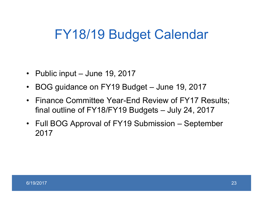### FY18/19 Budget Calendar

- Public input June 19, 2017
- $\bullet$ BOG guidance on FY19 Budget – June 19, 2017
- $\bullet$  Finance Committee Year-End Review of FY17 Results; final outline of FY18/FY19 Budgets – July 24, 2017
- Full BOG Approval of FY19 Submission September 2017